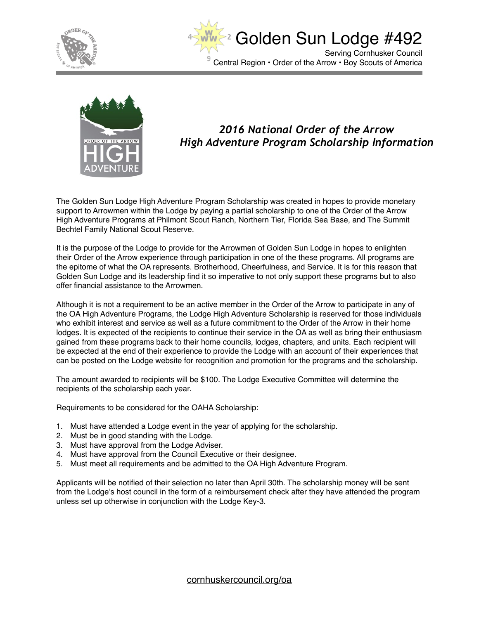





#### *2016 National Order of the Arrow High Adventure Program Scholarship Information*

The Golden Sun Lodge High Adventure Program Scholarship was created in hopes to provide monetary support to Arrowmen within the Lodge by paying a partial scholarship to one of the Order of the Arrow High Adventure Programs at Philmont Scout Ranch, Northern Tier, Florida Sea Base, and The Summit Bechtel Family National Scout Reserve.

It is the purpose of the Lodge to provide for the Arrowmen of Golden Sun Lodge in hopes to enlighten their Order of the Arrow experience through participation in one of the these programs. All programs are the epitome of what the OA represents. Brotherhood, Cheerfulness, and Service. It is for this reason that Golden Sun Lodge and its leadership find it so imperative to not only support these programs but to also offer financial assistance to the Arrowmen.

Although it is not a requirement to be an active member in the Order of the Arrow to participate in any of the OA High Adventure Programs, the Lodge High Adventure Scholarship is reserved for those individuals who exhibit interest and service as well as a future commitment to the Order of the Arrow in their home lodges. It is expected of the recipients to continue their service in the OA as well as bring their enthusiasm gained from these programs back to their home councils, lodges, chapters, and units. Each recipient will be expected at the end of their experience to provide the Lodge with an account of their experiences that can be posted on the Lodge website for recognition and promotion for the programs and the scholarship.

The amount awarded to recipients will be \$100. The Lodge Executive Committee will determine the recipients of the scholarship each year.

Requirements to be considered for the OAHA Scholarship:

- 1. Must have attended a Lodge event in the year of applying for the scholarship.
- 2. Must be in good standing with the Lodge.
- 3. Must have approval from the Lodge Adviser.
- 4. Must have approval from the Council Executive or their designee.
- 5. Must meet all requirements and be admitted to the OA High Adventure Program.

Applicants will be notified of their selection no later than April 30th. The scholarship money will be sent from the Lodge's host council in the form of a reimbursement check after they have attended the program unless set up otherwise in conjunction with the Lodge Key-3.

[cornhuskercouncil.org/oa](http://cornhuskercouncil.org/oa)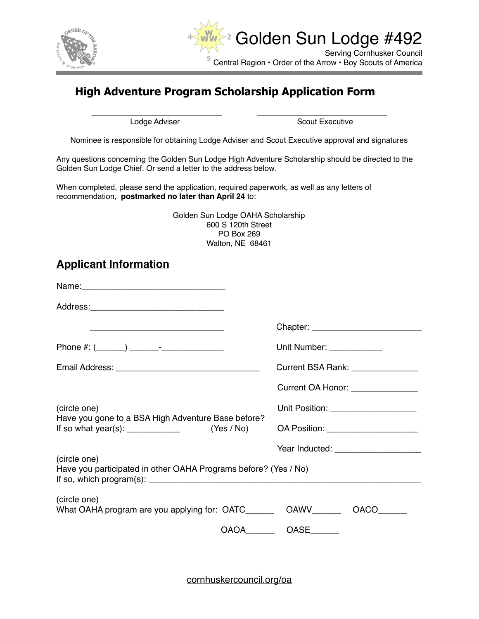



# **High Adventure Program Scholarship Application Form**

\_\_\_\_\_\_\_\_\_\_\_\_\_\_\_\_\_\_\_\_\_\_\_\_\_\_\_\_\_\_ \_\_\_\_\_\_\_\_\_\_\_\_\_\_\_\_\_\_\_\_\_\_\_\_\_\_\_\_\_\_

Lodge Adviser **Scout Executive** Scout Executive

Nominee is responsible for obtaining Lodge Adviser and Scout Executive approval and signatures

Any questions concerning the Golden Sun Lodge High Adventure Scholarship should be directed to the Golden Sun Lodge Chief. Or send a letter to the address below.

When completed, please send the application, required paperwork, as well as any letters of recommendation, **postmarked no later than April 24** to:

| Golden Sun Lodge OAHA Scholarship |  |
|-----------------------------------|--|
| 600 S 120th Street                |  |
| PO Box 269                        |  |
| Walton, NE 68461                  |  |

## **Applicant Information**

|                                                                                                                                                                                                                                                                                         | Unit Number: _____________             |
|-----------------------------------------------------------------------------------------------------------------------------------------------------------------------------------------------------------------------------------------------------------------------------------------|----------------------------------------|
|                                                                                                                                                                                                                                                                                         | Current BSA Rank: _______________      |
|                                                                                                                                                                                                                                                                                         | Current OA Honor: ________________     |
| (circle one)                                                                                                                                                                                                                                                                            | Unit Position: _____________________   |
| Have you gone to a BSA High Adventure Base before?<br>If so what year(s): $\frac{1}{2}$ mass of the set of the set of the set of the set of the set of the set of the set of the set of the set of the set of the set of the set of the set of the set of the set of the set of the set |                                        |
|                                                                                                                                                                                                                                                                                         | Year Inducted: _______________________ |
| (circle one)<br>Have you participated in other OAHA Programs before? (Yes / No)                                                                                                                                                                                                         |                                        |
| (circle one)<br>What OAHA program are you applying for: OATC___________ OAWV________                                                                                                                                                                                                    | OACO                                   |
|                                                                                                                                                                                                                                                                                         | OAOA__________OASE________             |

[cornhuskercouncil.org/oa](http://cornhuskercouncil.org/oa)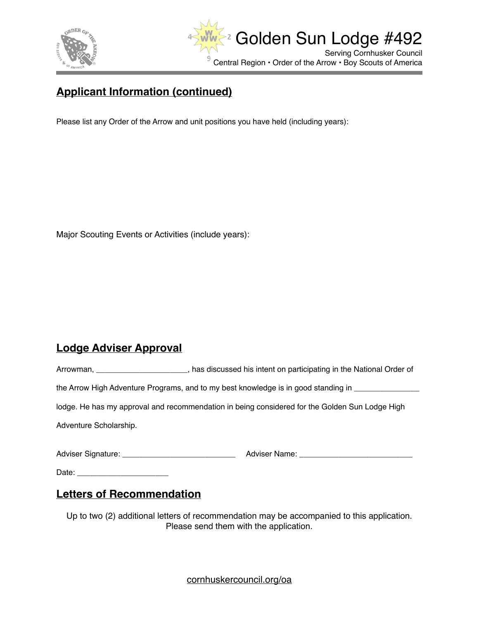



# **Applicant Information (continued)**

Please list any Order of the Arrow and unit positions you have held (including years):

Major Scouting Events or Activities (include years):

## **Lodge Adviser Approval**

|                        | has discussed his intent on participating in the National Order of                             |
|------------------------|------------------------------------------------------------------------------------------------|
|                        | the Arrow High Adventure Programs, and to my best knowledge is in good standing in             |
|                        | lodge. He has my approval and recommendation in being considered for the Golden Sun Lodge High |
| Adventure Scholarship. |                                                                                                |
|                        |                                                                                                |
| Date:                  |                                                                                                |

### **Letters of Recommendation**

Up to two (2) additional letters of recommendation may be accompanied to this application. Please send them with the application.

[cornhuskercouncil.org/oa](http://cornhuskercouncil.org/oa)